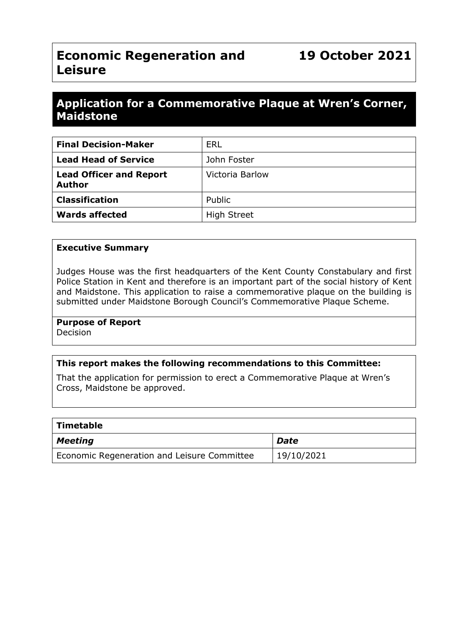# **Economic Regeneration and Leisure**

## **Application for a Commemorative Plaque at Wren's Corner, Maidstone**

| <b>Final Decision-Maker</b>                     | <b>ERL</b>         |
|-------------------------------------------------|--------------------|
| <b>Lead Head of Service</b>                     | John Foster        |
| <b>Lead Officer and Report</b><br><b>Author</b> | Victoria Barlow    |
| <b>Classification</b>                           | Public             |
| <b>Wards affected</b>                           | <b>High Street</b> |

#### **Executive Summary**

Judges House was the first headquarters of the Kent County Constabulary and first Police Station in Kent and therefore is an important part of the social history of Kent and Maidstone. This application to raise a commemorative plaque on the building is submitted under Maidstone Borough Council's Commemorative Plaque Scheme.

#### **Purpose of Report**

Decision

#### **This report makes the following recommendations to this Committee:**

That the application for permission to erect a Commemorative Plaque at Wren's Cross, Maidstone be approved.

| <b>Timetable</b>                            |            |
|---------------------------------------------|------------|
| Meeting                                     | Date       |
| Economic Regeneration and Leisure Committee | 19/10/2021 |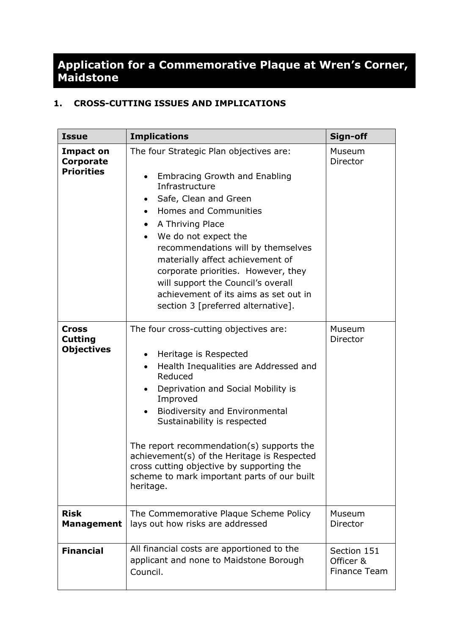## **Application for a Commemorative Plaque at Wren's Corner, Maidstone**

## **1. CROSS-CUTTING ISSUES AND IMPLICATIONS**

| <b>Issue</b>                                        | <b>Implications</b>                                                                                                                                                                                                                                                                                                                                                                                                                                                                | Sign-off                                 |
|-----------------------------------------------------|------------------------------------------------------------------------------------------------------------------------------------------------------------------------------------------------------------------------------------------------------------------------------------------------------------------------------------------------------------------------------------------------------------------------------------------------------------------------------------|------------------------------------------|
| <b>Impact on</b><br>Corporate<br><b>Priorities</b>  | The four Strategic Plan objectives are:<br><b>Embracing Growth and Enabling</b><br>$\bullet$<br>Infrastructure<br>Safe, Clean and Green<br>٠<br>Homes and Communities<br>A Thriving Place<br>$\bullet$<br>We do not expect the<br>$\bullet$<br>recommendations will by themselves<br>materially affect achievement of<br>corporate priorities. However, they<br>will support the Council's overall<br>achievement of its aims as set out in<br>section 3 [preferred alternative].  | Museum<br>Director                       |
| <b>Cross</b><br><b>Cutting</b><br><b>Objectives</b> | The four cross-cutting objectives are:<br>Heritage is Respected<br>$\bullet$<br>Health Inequalities are Addressed and<br>$\bullet$<br>Reduced<br>Deprivation and Social Mobility is<br>$\bullet$<br>Improved<br>Biodiversity and Environmental<br>Sustainability is respected<br>The report recommendation(s) supports the<br>achievement(s) of the Heritage is Respected<br>cross cutting objective by supporting the<br>scheme to mark important parts of our built<br>heritage. | Museum<br>Director                       |
| <b>Risk</b><br><b>Management</b>                    | The Commemorative Plaque Scheme Policy<br>lays out how risks are addressed                                                                                                                                                                                                                                                                                                                                                                                                         | Museum<br>Director                       |
| <b>Financial</b>                                    | All financial costs are apportioned to the<br>applicant and none to Maidstone Borough<br>Council.                                                                                                                                                                                                                                                                                                                                                                                  | Section 151<br>Officer &<br>Finance Team |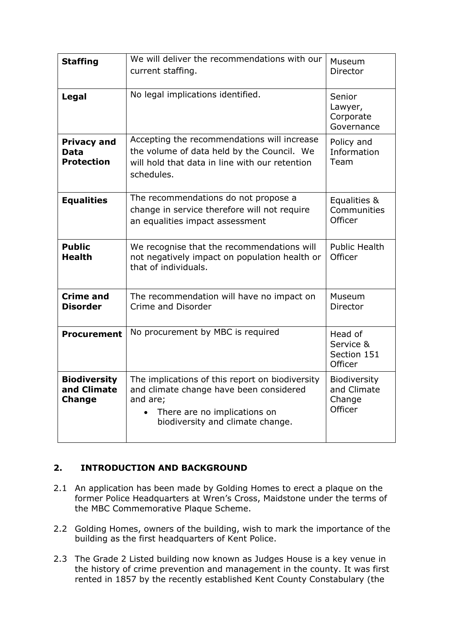| <b>Staffing</b>                                        | We will deliver the recommendations with our<br>current staffing.                                                                                                                       | Museum<br>Director                               |
|--------------------------------------------------------|-----------------------------------------------------------------------------------------------------------------------------------------------------------------------------------------|--------------------------------------------------|
| Legal                                                  | No legal implications identified.                                                                                                                                                       | Senior<br>Lawyer,<br>Corporate<br>Governance     |
| <b>Privacy and</b><br><b>Data</b><br><b>Protection</b> | Accepting the recommendations will increase<br>the volume of data held by the Council. We<br>will hold that data in line with our retention<br>schedules.                               | Policy and<br>Information<br>Team                |
| <b>Equalities</b>                                      | The recommendations do not propose a<br>change in service therefore will not require<br>an equalities impact assessment                                                                 | Equalities &<br>Communities<br>Officer           |
| <b>Public</b><br><b>Health</b>                         | We recognise that the recommendations will<br>not negatively impact on population health or<br>that of individuals.                                                                     | <b>Public Health</b><br>Officer                  |
| <b>Crime and</b><br><b>Disorder</b>                    | The recommendation will have no impact on<br>Crime and Disorder                                                                                                                         | Museum<br>Director                               |
| <b>Procurement</b>                                     | No procurement by MBC is required                                                                                                                                                       | Head of<br>Service &<br>Section 151<br>Officer   |
| <b>Biodiversity</b><br>and Climate<br><b>Change</b>    | The implications of this report on biodiversity<br>and climate change have been considered<br>and are;<br>There are no implications on<br>$\bullet$<br>biodiversity and climate change. | Biodiversity<br>and Climate<br>Change<br>Officer |

## **2. INTRODUCTION AND BACKGROUND**

- 2.1 An application has been made by Golding Homes to erect a plaque on the former Police Headquarters at Wren's Cross, Maidstone under the terms of the MBC Commemorative Plaque Scheme.
- 2.2 Golding Homes, owners of the building, wish to mark the importance of the building as the first headquarters of Kent Police.
- 2.3 The Grade 2 Listed building now known as Judges House is a key venue in the history of crime prevention and management in the county. It was first rented in 1857 by the recently established Kent County Constabulary (the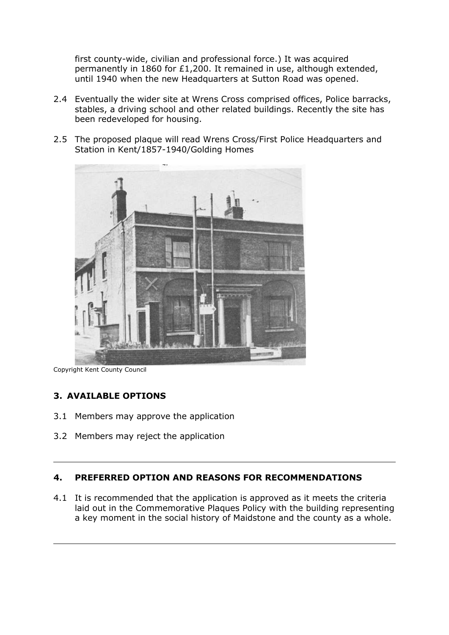first county-wide, civilian and professional force.) It was acquired permanently in 1860 for £1,200. It remained in use, although extended, until 1940 when the new Headquarters at Sutton Road was opened.

- 2.4 Eventually the wider site at Wrens Cross comprised offices, Police barracks, stables, a driving school and other related buildings. Recently the site has been redeveloped for housing.
- 2.5 The proposed plaque will read Wrens Cross/First Police Headquarters and Station in Kent/1857-1940/Golding Homes



Copyright Kent County Council

#### **3. AVAILABLE OPTIONS**

- 3.1 Members may approve the application
- 3.2 Members may reject the application

## **4. PREFERRED OPTION AND REASONS FOR RECOMMENDATIONS**

4.1 It is recommended that the application is approved as it meets the criteria laid out in the Commemorative Plaques Policy with the building representing a key moment in the social history of Maidstone and the county as a whole.